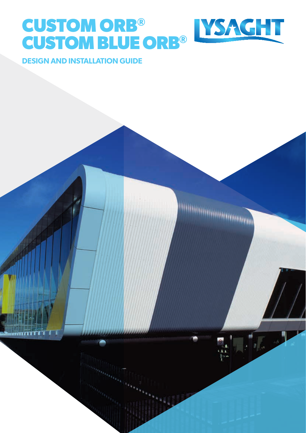# **CUSTOM ORB® CUSTOM BLUE ORB®**



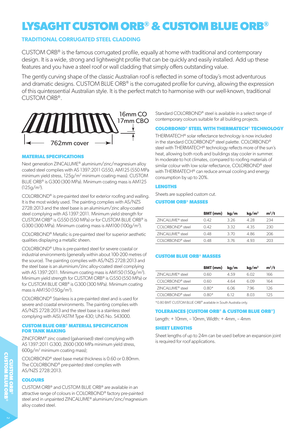# **LYSAGHT CUSTOM ORB® & CUSTOM BLUE ORB®**

# **TRADITIONAL CORRUGATED STEEL CLADDING**

CUSTOM ORB® is the famous corrugated profile, equally at home with traditional and contemporary design. It is a wide, strong and lightweight profile that can be quickly and easily installed. Add up these features and you have a steel roof or wall cladding that simply offers outstanding value.

The gently curving shape of the classic Australian roof is reflected in some of today's most adventurous and dramatic designs. CUSTOM BLUE ORB<sup>®</sup> is the corrugated profile for curving, allowing the expression of this quintessential Australian style. It is the perfect match to harmonise with our well-known, traditional CUSTOM ORB®.



### **MATERIAL SPECIFICATIONS**

Next generation ZINCALUME® aluminium/zinc/magnesium alloy coated steel complies with AS 1397:2011 G550, AM125 (550 MPa minimum yield stress, 125g/m2 minimum coating mass). CUSTOM BLUE ORB® is G300 (300 MPa). Minimum coating mass is AM125  $(125g/m<sup>2</sup>)$ .

COLORBOND® is pre-painted steel for exterior roofing and walling. It is the most widely used. The painting complies with AS/NZS 2728:2013 and the steel base is an aluminium/zinc alloy-coated steel complying with AS 1397:2011. Minimum yield strength for CUSTOM ORB® is G550 (550 MPa) or for CUSTOM BLUE ORB® is G300 (300 MPa). Minimum coating mass is AM100 (100g/m2 ).

COLORBOND® Metallic is pre-painted steel for superior aesthetic qualities displaying a metallic sheen.

COLORBOND® Ultra is pre-painted steel for severe coastal or industrial environments (generally within about 100-200 metres of the source). The painting complies with AS/NZS 2728:2013 and the steel base is an aluminium/zinc alloy-coated steel complying with AS 1397:2011. Minimum coating mass is AM150 (150g/m2 ). Minimum yield strength for CUSTOM ORB® is G550 (550 MPa) or for CUSTOM BLUE ORB® is G300 (300 MPa). Minimum coating mass is AM150 (150g/m2 ).

COLORBOND® Stainless is a pre-painted steel and is used for severe and coastal environments. The painting complies with AS/NZS 2728:2013 and the steel base is a stainless steel complying with AISI/ASTM Type 430; UNS No. S43000.

#### **CUSTOM BLUE ORB® MATERIAL SPECIFICATION FOR TANK MAKING**

ZINCFORM® zinc coated (galvanised) steel complying with AS 1397:2011 G300, Z600 (300 MPa minimum yield stress, 600g/m2 minimum coating mass);

COLORBOND® steel base metal thickness is 0.60 or 0.80mm. The COLORBOND® pre-painted steel complies with AS/NZS 2728:2013.

# **COLOURS**

CUSTOM ORB® and CUSTOM BLUE ORB® are available in an attractive range of colours in COLORBOND® factory pre-painted steel and in unpainted ZINCALUME® aluminium/zinc/magnesium alloy coated steel.

Standard COLORBOND® steel is available in a select range of contemporary colours suitable for all building projects.

# **COLORBOND® STEEL WITH THERMATECH® TECHNOLOGY**

THERMATECH® solar reflectance technology is now included in the standard COLORBOND® steel palette. COLORBOND® steel with THERMATECH® technology reflects more of the sun's heat, allowing both roofs and buildings stay cooler in summer. In moderate to hot climates, compared to roofing materials of similar colour with low solar reflectance, COLORBOND® steel with THERMATECH® can reduce annual cooling and energy consumption by up to 20%.

#### **LENGTHS**

Sheets are supplied custom cut.

### **CUSTOM ORB® MASSES**

|                              | BMT (mm) | kg/m  | kg/m <sup>2</sup> | $m^2/t$ |
|------------------------------|----------|-------|-------------------|---------|
| ZINCALUME <sup>®</sup> steel | 0.42     | 326   | 4.28              | 234     |
| $COIORBOND®$ steel           | 0.42     | 3.32  | 4.35              | 230     |
| ZINCALUME <sup>®</sup> steel | O 48     | 3. ZO | 486               | 206     |
| COLORBOND® steel             | O 48     | 376   | 4.93              | 203     |

#### **CUSTOM BLUE ORB® MASSES**

|                              | BMT (mm) | kg/m | kg/m <sup>2</sup> | $m^2/t$ |
|------------------------------|----------|------|-------------------|---------|
| ZINCALUME <sup>®</sup> steel | 0.60     | 4.59 | 6.02              | 166     |
| $COIORBOND®$ steel           | O 60     | 4 64 | 609               | 164     |
| ZINCALUME <sup>®</sup> steel | $0.80*$  | 6.06 | 796               | 126     |
| COLORBOND <sup>®</sup> steel | 0.80*    | 612  | 8.03              | 125     |

\*0.80 BMT CUSTOM BLUE ORB® available in South Australia only.

#### **TOLERANCES (CUSTOM ORB® & CUSTOM BLUE ORB®)**

Length: + 10mm, – 10mm, Width: + 4mm, – 4mm

#### **SHEET LENGTHS**

Sheet lengths of up to 24m can be used before an expansion joint is required for roof applications.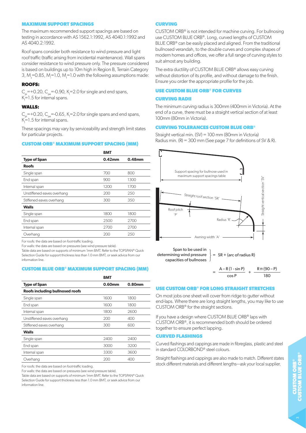#### **MAXIMUM SUPPORT SPACINGS**

The maximum recommended support spacings are based on testing in accordance with AS 1562.1:1992, AS 4040.1:1992 and AS 4040.2:1992.

Roof spans consider both resistance to wind pressure and light roof traffic (traffic arising from incidental maintenance). Wall spans consider resistance to wind pressure only. The pressure considered is based on buildings up to 10m high in Region B, Terrain Category 3,  $M_{\textrm{s}}$ =0.85, M<sub>i</sub>=1.0, M<sub>t</sub>=1.0 with the following assumptions made:

#### **ROOFS:**

 $C_{pi}$  = +0.20,  $C_{pe}$  = -0.90, K<sub>1</sub> = 2.0 for single and end spans,  $K = 1.5$  for internal spans.

#### **WALLS:**

 $C_{pi}$  =+0.20,  $C_{pe}$  =-0.65, K<sub>1</sub>=2.0 for single spans and end spans,  $K = 1.5$  for internal spans.

These spacings may vary by serviceability and strength limit states for particular projects.

#### **CUSTOM ORB® MAXIMUM SUPPORT SPACING (MM)**

| <b>BMT</b> |        |
|------------|--------|
| $0.42$ mm  | 0.48mm |
|            |        |
| 700        | 800    |
| 900        | 1300   |
| 1200       | 1700   |
| 200        | 250    |
| 300        | 350    |
|            |        |
| 1800       | 1800   |
| 2500       | 2700   |
| 2700       | 2700   |
| 200        | 250    |
|            |        |

For roofs: the data are based on foot-traffic loading.

For walls: the data are based on pressures (see wind pressure table).

Table data are based on supports of minimum 1mm BMT. Refer to the TOPSPAN® Ouick

Selection Guide for support thickness less than 1.0 mm BMT, or seek advice from our information line.

#### **CUSTOM BLUE ORB® MAXIMUM SUPPORT SPACING (MM)**

|                                        | <b>BMT</b> |        |
|----------------------------------------|------------|--------|
| <b>Type of Span</b>                    | 0.60mm     | 0.80mm |
| <b>Roofs including bullnosed roofs</b> |            |        |
| Single span                            | 1600       | 1800   |
| End span                               | 1600       | 1800   |
| Internal span                          | 1800       | 2600   |
| Unstiffened eaves overhang             | 200        | 400    |
| Stiffened eaves overhang               | 300        | 600    |
| <b>Walls</b>                           |            |        |
| Single span                            | 2400       | 2400   |
| End span                               | 3000       | 3200   |
| Internal span                          | 3300       | 3600   |
| Overhang                               | 200        | 400    |
|                                        |            |        |

For roofs: the data are based on foot-traffic loading.

For walls: the data are based on pressures (see wind pressure table).

Table data are based on supports of minimum 1mm BMT. Refer to the TOPSPAN® Quick Selection Guide for support thickness less than 1.0 mm BMT, or seek advice from our information line.

#### **CURVING**

CUSTOM ORB® is not intended for machine curving. For bullnosing use CUSTOM BLUE ORB®. Long, curved lengths of CUSTOM BLUE ORB® can be easily placed and aligned. From the traditional bullnosed verandah, to the double curves and complex shapes of modern homes and offices, we offer a full range of curving styles to suit almost any building.

The extra ductility of CUSTOM BLUE ORB® allows easy curving without distortion of its profile, and without damage to the finish. Ensure you order the appropriate profile for the job.

#### **USE CUSTOM BLUE ORB® FOR CURVES**

#### **CURVING RADII**

The minimum curving radius is 300mm (400mm in Victoria). At the end of a curve, there must be a straight vertical section of at least 100mm (80mm in Victoria).

#### **CURVING TOLERANCES CUSTOM BLUE ORB®**

Straight vertical min. (SV) = 100 mm (80mm in Victoria) Radius min.  $(R) = 300$  mm (See page 7 for definitions of SV & R).



 $= \frac{A - R (1 - \sin P)}{1 + \sin P}$ cos P  $R \pi (90 - P)$ 180

#### **USE CUSTOM ORB® FOR LONG STRAIGHT STRETCHES**

On most jobs one sheet will cover from ridge to gutter without end-laps. Where there are long straight lengths, you may like to use CUSTOM ORB® for the straight sections.

If you have a design where CUSTOM BLUE ORB® laps with CUSTOM ORB®, it is recommended both should be ordered together to ensure perfect lapping.

#### **CURVED FLASHINGS**

Curved flashings and cappings are made in fibreglass, plastic and steel in standard COLORBOND® steel colours.

Straight flashings and cappings are also made to match. Different states stock different materials and different lengths—ask your local supplier.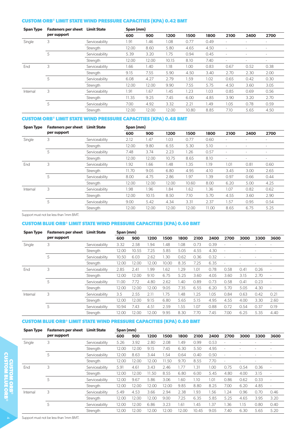### **CUSTOM ORB® LIMIT STATE WIND PRESSURE CAPACITIES (KPA) 0.42 BMT**

| <b>Span Type</b> | <b>Fasteners per sheet</b> | <b>Limit State</b> | Span (mm) |       |       |       |      |        |      |                          |
|------------------|----------------------------|--------------------|-----------|-------|-------|-------|------|--------|------|--------------------------|
|                  | per support                |                    | 600       | 900   | 1200  | 1500  | 1800 | 2100   | 2400 | 2700                     |
| Single           | 3                          | Serviceability     | 1.91      | 1.46  | 1.08  | 0.77  | 0.49 | $\sim$ |      | ٠                        |
|                  |                            | Strength           | 12.00     | 8.60  | 5.80  | 4.65  | 4.50 | $\sim$ | ٠    | $\overline{\phantom{a}}$ |
|                  | 5                          | Serviceability     | 5.39      | 3.20  | 1.75  | 0.94  | 0.45 | ٠      | ۰    | $\overline{\phantom{a}}$ |
|                  |                            | Strength           | 12.00     | 12.00 | 10.15 | 8.10  | 7.40 | ٠      | ۰    | $\sim$                   |
| End              | 3                          | Serviceability     | 1.66      | 1.40  | 1.18  | 1.00  | 0.83 | 0.67   | 0.52 | 0.38                     |
|                  |                            | Strength           | 9.15      | 7.55  | 5.90  | 4.50  | 3.40 | 2.70   | 2.30 | 2.00                     |
|                  | 5                          | Serviceability     | 6.08      | 4.27  | 2.79  | 1.59  | 1.02 | 0.65   | 0.42 | 0.30                     |
|                  |                            | Strength           | 12.00     | 12.00 | 9.90  | 7.55  | 5.75 | 4.50   | 3.60 | 3.05                     |
| Internal         | 3                          | Serviceability     | 1.91      | 1.67  | 1.45  | 1.23  | 1.03 | 0.85   | 0.69 | 0.56                     |
|                  |                            | Strength           | 11.35     | 9.25  | 7.45  | 6.00  | 4.85 | 3.90   | 3.20 | 2.70                     |
|                  | 5                          | Serviceability     | 7.00      | 4.92  | 3.32  | 2.21  | 1.49 | 1.05   | 0.78 | 0.59                     |
|                  |                            | Strength           | 12.00     | 12.00 | 12.00 | 10.80 | 8.85 | 7.10   | 5.65 | 4.50                     |

# **CUSTOM ORB® LIMIT STATE WIND PRESSURE CAPACITIES (KPA) 0.48 BMT**

| <b>Span Type</b> | <b>Fasteners per sheet</b> | <b>Limit State</b> | Span (mm) |       |       |       |       |                          |                          |                          |
|------------------|----------------------------|--------------------|-----------|-------|-------|-------|-------|--------------------------|--------------------------|--------------------------|
|                  | per support                |                    | 600       | 900   | 1200  | 1500  | 1800  | 2100                     | 2400                     | 2700                     |
| Single           | 3                          | Serviceability     | 2.12      | 1.47  | 1.03  | 0.77  | 0.60  | ٠                        |                          |                          |
|                  |                            | Strength           | 12.00     | 9.80  | 6.55  | 5.30  | 5.10  | ÷                        |                          | ٠                        |
|                  | 5                          | Serviceability     | 7.48      | 3.74  | 2.23  | 1.26  | 0.57  | $\sim$                   | ۰                        | $\overline{\phantom{a}}$ |
|                  |                            | Strength           | 12.00     | 12.00 | 10.75 | 8.65  | 8.10  | $\overline{\phantom{a}}$ | $\overline{\phantom{a}}$ | $\overline{\phantom{a}}$ |
| End              | 3                          | Serviceability     | 1.92      | 1.66  | 1.48  | 1.35  | 1.19  | 1.01                     | 0.81                     | 0.60                     |
|                  |                            | Strength           | 11.70     | 9.05  | 6.80  | 4.95  | 4.10  | 3.45                     | 3.00                     | 2.65                     |
|                  | 5                          | Serviceability     | 8.00      | 4.75  | 2.86  | 1.97  | 1.39  | 0.97                     | 0.66                     | 0.44                     |
|                  |                            | Strength           | 12.00     | 12.00 | 12.00 | 10.60 | 8.00  | 6.20                     | 5.00                     | 4.25                     |
| Internal         | 3                          | Serviceability     | 1.98      | 1.96  | 1.84  | 1.62  | 1.36  | 1.07                     | 0.82                     | 0.62                     |
|                  |                            | Strength           | 12.00     | 10.15 | 8.50  | 7.10  | 5.70  | 4.55                     | 3.60                     | 2.90                     |
|                  | 5                          | Serviceability     | 9.00      | 5.42  | 4.34  | 3.31  | 2.37  | 1.57                     | 0.95                     | 0.54                     |
|                  |                            | Strength           | 12.00     | 12.00 | 12.00 | 12.00 | 11.00 | 8.65                     | 6.75                     | 5.25                     |

Support must not be less than 1mm BMT.

## **CUSTOM BLUE ORB® LIMIT STATE WIND PRESSURE CAPACITIES (KPA) 0.60 BMT**

| <b>Span Type</b> | <b>Fasteners per sheet</b> | <b>Limit State</b> | Span (mm) |       |       |       |      |      |      |      |      |      |        |
|------------------|----------------------------|--------------------|-----------|-------|-------|-------|------|------|------|------|------|------|--------|
|                  | per support                |                    | 600       | 900   | 1200  | 1500  | 1800 | 2100 | 2400 | 2700 | 3000 | 3300 | 3600   |
| Single           | 3                          | Serviceability     | 3.32      | 2.58  | 1.94  | 1.48  | 1.08 | 0.73 | 0.39 |      |      |      | ۰      |
|                  |                            | Strength           | 12.00     | 10.55 | 7.25  | 5.85  | 5.05 | 4.55 | 4.30 |      | ۰    |      |        |
|                  | 5                          | Serviceability     | 10.50     | 6.03  | 2.62  | 1.30  | 0.62 | 0.36 | 0.32 |      |      |      |        |
|                  |                            | Strength           | 12.00     | 12.00 | 12.00 | 10.00 | 8.35 | 7.25 | 6.35 | ٠    |      |      |        |
| End              | 3                          | Serviceability     | 2.85      | 2.41  | 1.99  | 1.62  | 1.29 | 1.01 | 0.78 | 0.58 | 0.41 | 0.26 | $\sim$ |
|                  |                            | Strength           | 12.00     | 12.00 | 9.10  | 6.75  | 5.25 | 3.60 | 4.05 | 3.60 | 3.15 | 2.70 |        |
|                  | 5                          | Serviceability     | 11.00     | 7.72  | 4.80  | 2.62  | 1.40 | 0.89 | 0.73 | 0.58 | 0.41 | 0.23 |        |
|                  |                            | Strength           | 12.00     | 12.00 | 12.00 | 9.05  | 7.35 | 6.55 | 6.20 | 5.70 | 5.05 | 4.30 | ٠      |
| Internal         | 3                          | Serviceability     | 3.5       | 2.55  | 2.11  | 1.75  | 1.48 | 1.25 | 1.05 | 0.84 | 0.63 | 0.42 | 0.21   |
|                  |                            | Strength           | 12.00     | 12.00 | 9.15  | 6.80  | 5.65 | 5.15 | 4.95 | 4.55 | 4.00 | 3.30 | 2.60   |
|                  | 5                          | Serviceability     | 10.94     | 7.43  | 4.51  | 2.59  | .55  | 1.07 | 0.88 | 0.72 | 0.54 | 0.37 | 0.19   |
|                  |                            | Strength           | 12.00     | 12.00 | 12.00 | 9.95  | 8.30 | 7.70 | 7.45 | 7.00 | 6.25 | 5.35 | 4.40   |

# **CUSTOM BLUE ORB® LIMIT STATE WIND PRESSURE CAPACITIES (KPA) 0.80 BMT**

| <b>Span Type</b> | <b>Fasteners per sheet</b> | <b>Limit State</b> | Span (mm) |       |       |       |       |       |      |                          |      |        |                          |
|------------------|----------------------------|--------------------|-----------|-------|-------|-------|-------|-------|------|--------------------------|------|--------|--------------------------|
|                  | per support                |                    | 600       | 900   | 1200  | 1500  | 1800  | 2100  | 2400 | 2700                     | 3000 | 3300   | 3600                     |
| Single           | 3                          | Serviceability     | 5.26      | 3.92  | 2.80  | 2.08  | 1.49  | 0.99  | 0.53 |                          |      |        | ۰                        |
|                  |                            | Strength           | 12.00     | 12.00 | 9.15  | 7.45  | 6.30  | 5.50  | 4.95 |                          |      | $\sim$ | ٠                        |
|                  | 5                          | Serviceability     | 12.00     | 8.63  | 3.44  | .54   | 0.64  | 0.40  | 0.50 |                          |      |        |                          |
|                  |                            | Strength           | 12.00     | 12.00 | 12.00 | 11.50 | 9.70  | 8.55  | 7.70 | $\overline{\phantom{a}}$ |      |        |                          |
| End              | 3                          | Serviceability     | 5.91      | 4.61  | 3.43  | 2.46  | 1.77  | 1.31  | 1.00 | 0.75                     | 0.54 | 0.36   |                          |
|                  |                            | Strength           | 12.00     | 12.00 | 11.50 | 8.55  | 6.80  | 6.00  | 5.45 | 4.80                     | 4.00 | 3.15   | $\overline{\phantom{a}}$ |
|                  | 5                          | Serviceability     | 12.00     | 9.67  | 5.86  | 3.06  | 1.60  | 1.10  | 1.01 | 0.86                     | 0.62 | 0.33   |                          |
|                  |                            | Strength           | 12.00     | 12.00 | 12.00 | 12.00 | 9.85  | 8.80  | 8.25 | 7.00                     | 6.20 | 4.85   | ٠                        |
| Internal         | 3                          | Serviceability     | 5.49      | 4.53  | 3.66  | 2.94  | 2.38  | 1.93  | 1.56 | 1.24                     | 0.96 | 0.70   | 0.46                     |
|                  |                            | Strength           | 12.00     | 12.00 | 12.00 | 9.00  | 7.25  | 6.35  | 5.85 | 5.25                     | 4.65 | 3.95   | 3.20                     |
|                  | 5                          | Serviceability     | 12.00     | 12.00 | 6.86  | 3.23  | 1.61  | 1.45  | .37  | 1.36                     | 1.15 | 0.80   | 0.40                     |
|                  |                            | Strenath           | 12.00     | 12.00 | 12.00 | 12.00 | 12.00 | 10.45 | 9.05 | 7.40                     | 6.30 | 5.65   | 5.20                     |

Support must not be less than 1mm BMT.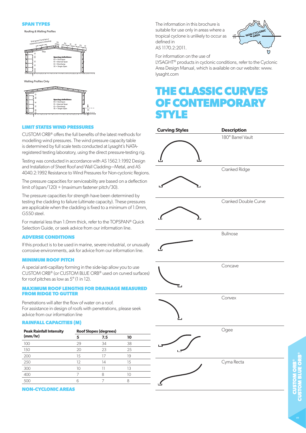#### **SPAN TYPES**

Roofing & Walling Profiles





#### **LIMIT STATES WIND PRESSURES**

CUSTOM ORB® offers the full benefits of the latest methods for modelling wind pressures. The wind pressure capacity table is determined by full scale tests conducted at Lysaght's NATAregistered testing laboratory, using the direct pressure-testing rig.

Testing was conducted in accordance with AS 1562.1:1992 Design and Installation of Sheet Roof and Wall Cladding—Metal, and AS 4040.2:1992 Resistance to Wind Pressures for Non-cyclonic Regions.

The pressure capacities for serviceability are based on a deflection limit of (span/120) + (maximum fastener pitch/30).

The pressure capacities for strength have been determined by testing the cladding to failure (ultimate capacity). These pressures are applicable when the cladding is fixed to a minimum of 1.0mm, G550 steel.

For material less than 1.0mm thick, refer to the TOPSPAN® Quick Selection Guide, or seek advice from our information line.

#### **ADVERSE CONDITIONS**

If this product is to be used in marine, severe industrial, or unusually corrosive environments, ask for advice from our information line.

#### **MINIMUM ROOF PITCH**

A special anti-capillary forming in the side-lap allow you to use CUSTOM ORB® (or CUSTOM BLUE ORB® used on curved surfaces) for roof pitches as low as 5° (1 in 12).

#### **MAXIMUM ROOF LENGTHS FOR DRAINAGE MEASURED FROM RIDGE TO GUTTER**

Penetrations will alter the flow of water on a roof. For assistance in design of roofs with penetrations, please seek advice from our information line

#### **RAINFALL CAPACITIES (M)**

| <b>Peak Rainfall Intensity</b> | <b>Roof Slopes (degrees)</b> |     |    |  |  |  |  |  |  |
|--------------------------------|------------------------------|-----|----|--|--|--|--|--|--|
| (mm/hr)                        | 5                            | 7.5 | 10 |  |  |  |  |  |  |
| 100                            | 29                           | 34  | 38 |  |  |  |  |  |  |
| 150                            | 20                           | 23  | 25 |  |  |  |  |  |  |
| 200                            | 15                           |     | 19 |  |  |  |  |  |  |
| 250                            | 12                           | 14  | 15 |  |  |  |  |  |  |
| 300                            | 10                           |     | 13 |  |  |  |  |  |  |
| 400                            |                              | 8   | 10 |  |  |  |  |  |  |
|                                |                              |     |    |  |  |  |  |  |  |

#### **NON-CYCLONIC AREAS**

The information in this brochure is suitable for use only in areas where a tropical cyclone is unlikely to occur as defined in AS 1170.2:2011.



For information on the use of

LYSAGHT<sup>®</sup> products in cyclonic conditions, refer to the Cyclonic Area Design Manual, which is available on our website: www. lysaght.com

# **THE CLASSIC CURVES OF CONTEMPORARY STYLE**

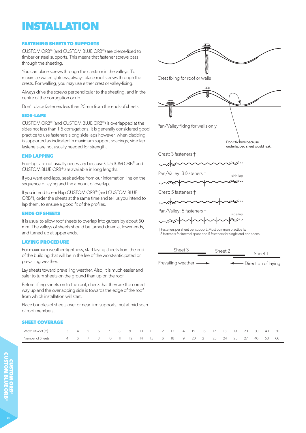# **INSTALLATION**

#### **FASTENING SHEETS TO SUPPORTS**

CUSTOM ORB® (and CUSTOM BLUE ORB®) are pierce-fixed to timber or steel supports. This means that fastener screws pass through the sheeting.

You can place screws through the crests or in the valleys. To maximise watertightness, always place roof screws through the crests. For walling, you may use either crest or valley-fixing.

Always drive the screws perpendicular to the sheeting, and in the centre of the corrugation or rib.

Don't place fasteners less than 25mm from the ends of sheets.

#### **SIDE-LAPS**

CUSTOM ORB® (and CUSTOM BLUE ORB®) is overlapped at the sides not less than 1.5 corrugations. It is generally considered good practice to use fasteners along side-laps however, when cladding is supported as indicated in maximum support spacings, side-lap fasteners are not usually needed for strength.

### **END LAPPING**

End-laps are not usually necessary because CUSTOM ORB® and CUSTOM BLUE ORB® are available in long lengths.

If you want end-laps, seek advice from our information line on the sequence of laying and the amount of overlap.

If you intend to end-lap CUSTOM ORB® (and CUSTOM BLUE ORB®), order the sheets at the same time and tell us you intend to lap them, to ensure a good fit of the profiles.

### **ENDS OF SHEETS**

It is usual to allow roof sheets to overlap into gutters by about 50 mm. The valleys of sheets should be turned-down at lower ends, and turned-up at upper ends.

#### **LAYING PROCEDURE**

For maximum weather-tightness, start laying sheets from the end of the building that will be in the lee of the worst-anticipated or prevailing weather.

Lay sheets toward prevailing weather. Also, it is much easier and safer to turn sheets on the ground than up on the roof.

Before lifting sheets on to the roof, check that they are the correct way up and the overlapping side is towards the edge of the roof from which installation will start.

Place bundles of sheets over or near firm supports, not at mid span of roof members.

#### **SHEET COVERAGE**

| Width of Roof (m)<br>3 4 5 6 7 |         |  | 8 <sup>2</sup> | $\overline{q}$         | 10 | - 11 - 12 - | -13 - | 14 | $15 \t 16$  |  | 18 | 19    | 20 | 30    | 40 | 50  |
|--------------------------------|---------|--|----------------|------------------------|----|-------------|-------|----|-------------|--|----|-------|----|-------|----|-----|
| Number of Sheets               | 4 6 7 8 |  |                | $10 \quad 11 \quad 12$ |    | 14 15 16 18 |       | 19 | 20 21 23 24 |  |    | 25 27 |    | 40 53 |    | -66 |



Prevailing weather  $\longrightarrow$   $\longleftarrow$  Direction of laying Sheet 1 Sheet 3 Sheet 2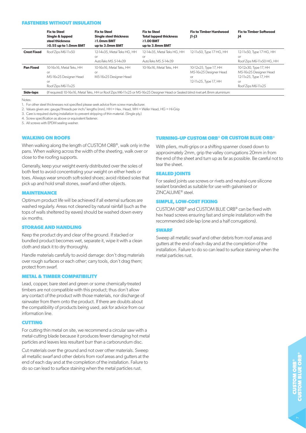#### **FASTENERS WITHOUT INSULATION**

|                    | <b>Fix to Steel</b><br>Single & lapped<br>steel thickness<br>$\geq$ 0.55 up to 1.0mm BMT | <b>Fix to Steel</b><br><b>Single steel thickness</b><br>$\geq 1.0$ mm BMT<br>up to 3.0mm BMT                                  | <b>Fix to Steel</b><br><b>Total lapped thickness</b><br>$\geq$ 1.00 BMT<br>up to 3.8mm BMT | <b>Fix to Timber Hardwood</b><br>J1-J3                                         | <b>Fix to Timber Softwood</b><br>J4                                                                         |
|--------------------|------------------------------------------------------------------------------------------|-------------------------------------------------------------------------------------------------------------------------------|--------------------------------------------------------------------------------------------|--------------------------------------------------------------------------------|-------------------------------------------------------------------------------------------------------------|
| <b>Crest Fixed</b> | Roof Zips M6-11x50                                                                       | 12-14x35, Metal Teks HG, HH<br>or<br>AutoTeks M5.5-14x39                                                                      | 12-14x35, Metal Teks HG, HH<br>or<br>AutoTeks M5.5-14x39                                   | 12-11x50, Type 17 HG, HH                                                       | 12-11x50, Type 17 HG, HH<br>or<br>Roof Zips M6-11x50 HG, HH                                                 |
| <b>Pan Fixed</b>   | 10-16x16. Metal Teks. HH<br>or<br>M5-16x25 Designer Head<br>or<br>Roof Zips M6-11x25     | 10-16x16, Metal Teks, HH<br><b>or</b><br>M5-16x25 Designer Head                                                               | 10-16x16, Metal Teks, HH                                                                   | 10-12x25, Type 17, HH<br>M5-16x25 Designer Head<br>or<br>12-11x25, Type 17, HH | 10-12x30, Type 17, HH<br>M5-16x25 Designer Head<br>12-11x25, Type 17, HH<br><b>or</b><br>Roof Zips M6-11x25 |
| Side-laps          |                                                                                          | (If required) 10-16x16, Metal Teks, HH or Roof Zips M6-11x25 or M5-16x25 Designer Head or Sealed blind rivet ø4.8mm aluminium |                                                                                            |                                                                                |                                                                                                             |

Notes:

1. For other steel thicknesses not specified please seek advice from screw manufacturer.

2. Values given are: gauge/threads per inch/ lengths (mm). HH = Hex. Head, WH = Wafer Head, HG = Hi-Grip

3. Care is required during installation to prevent stripping of thin material. (Single ply.)

4. Screw specification as above or equivalent fastener.

5. All screws with EPDM sealing washer.

#### **WALKING ON ROOFS**

When walking along the length of CUSTOM ORB®, walk only in the pans. When walking across the width of the sheeting, walk over or close to the roofing supports.

Generally, keep your weight evenly distributed over the soles of both feet to avoid concentrating your weight on either heels or toes. Always wear smooth soft-soled shoes; avoid ribbed soles that pick up and hold small stones, swarf and other objects.

#### **MAINTENANCE**

Optimum product life will be achieved if all external surfaces are washed regularly. Areas not cleaned by natural rainfall (such as the tops of walls sheltered by eaves) should be washed down every six months.

#### **STORAGE AND HANDLING**

Keep the product dry and clear of the ground. If stacked or bundled product becomes wet, separate it, wipe it with a clean cloth and stack it to dry thoroughly.

Handle materials carefully to avoid damage: don't drag materials over rough surfaces or each other; carry tools, don't drag them; protect from swarf.

#### **METAL & TIMBER COMPATIBILITY**

Lead, copper, bare steel and green or some chemically-treated timbers are not compatible with this product; thus don't allow any contact of the product with those materials, nor discharge of rainwater from them onto the product. If there are doubts about the compatibility of products being used, ask for advice from our information line.

#### **CUTTING**

For cutting thin metal on site, we recommend a circular saw with a metal-cutting blade because it produces fewer damaging hot metal particles and leaves less resultant burr than a carborundum disc.

Cut materials over the ground and not over other materials. Sweep all metallic swarf and other debris from roof areas and gutters at the end of each day and at the completion of the installation. Failure to do so can lead to surface staining when the metal particles rust.

#### **TURNING-UP CUSTOM ORB® OR CUSTOM BLUE ORB®**

With pliers, multi-grips or a shifting spanner closed down to approximately 2mm, grip the valley corrugations 20mm in from the end of the sheet and turn up as far as possible. Be careful not to tear the sheet.

#### **SEALED JOINTS**

For sealed joints use screws or rivets and neutral-cure silicone sealant branded as suitable for use with galvanised or ZINCALUME® steel.

#### **SIMPLE, LOW-COST FIXING**

CUSTOM ORB® and CUSTOM BLUE ORB® can be fixed with hex head screws ensuring fast and simple installation with the recommended side-lap (one and a half corrugations).

#### **SWARF**

Sweep all metallic swarf and other debris from roof areas and gutters at the end of each day and at the completion of the installation. Failure to do so can lead to surface staining when the metal particles rust.

 $\mathord{\sim}$